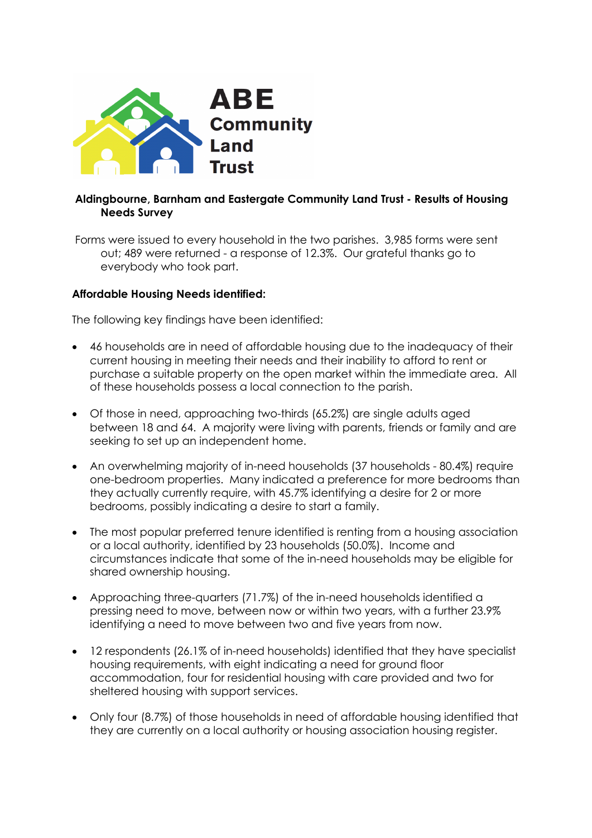

## **Aldingbourne, Barnham and Eastergate Community Land Trust - Results of Housing Needs Survey**

Forms were issued to every household in the two parishes. 3,985 forms were sent out; 489 were returned - a response of 12.3%. Our grateful thanks go to everybody who took part.

## **Affordable Housing Needs identified:**

The following key findings have been identified:

- 46 households are in need of affordable housing due to the inadequacy of their current housing in meeting their needs and their inability to afford to rent or purchase a suitable property on the open market within the immediate area. All of these households possess a local connection to the parish.
- Of those in need, approaching two-thirds (65.2%) are single adults aged between 18 and 64. A majority were living with parents, friends or family and are seeking to set up an independent home.
- An overwhelming majority of in-need households (37 households 80.4%) require one-bedroom properties. Many indicated a preference for more bedrooms than they actually currently require, with 45.7% identifying a desire for 2 or more bedrooms, possibly indicating a desire to start a family.
- The most popular preferred tenure identified is renting from a housing association or a local authority, identified by 23 households (50.0%). Income and circumstances indicate that some of the in-need households may be eligible for shared ownership housing.
- Approaching three-quarters (71.7%) of the in-need households identified a pressing need to move, between now or within two years, with a further 23.9% identifying a need to move between two and five years from now.
- 12 respondents (26.1% of in-need households) identified that they have specialist housing requirements, with eight indicating a need for ground floor accommodation, four for residential housing with care provided and two for sheltered housing with support services.
- Only four (8.7%) of those households in need of affordable housing identified that they are currently on a local authority or housing association housing register.